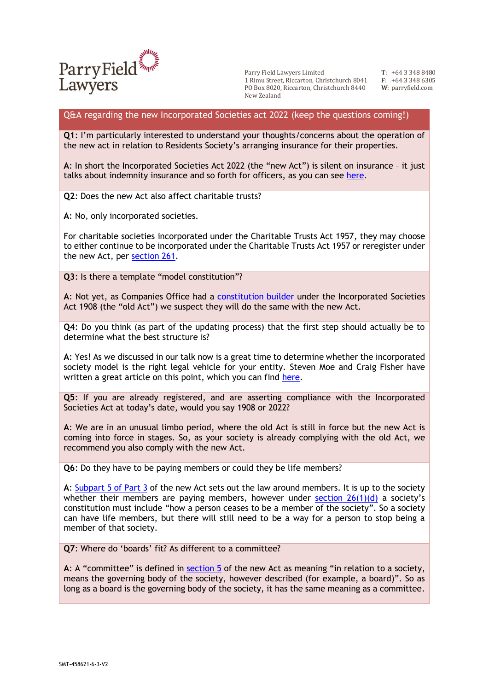

Parry Field Lawyers Limited 1 Rimu Street, Riccarton, Christchurch 8041 PO Box 8020, Riccarton, Christchurch 8440 New Zealand

**T**: +64 3 348 8480 **F**: +64 3 348 6305 **W**: parryfield.com

## Q&A regarding the new Incorporated Societies act 2022 (keep the questions coming!)

**Q1**: I'm particularly interested to understand your thoughts/concerns about the operation of the new act in relation to Residents Society's arranging insurance for their properties.

**A**: In short the Incorporated Societies Act 2022 (the "new Act") is silent on insurance – it just talks about indemnity insurance and so forth for officers, as you can see [here.](https://www.legislation.govt.nz/act/public/2022/0012/latest/LMS100984.html)

**Q2**: Does the new Act also affect charitable trusts?

**A**: No, only incorporated societies.

For charitable societies incorporated under the Charitable Trusts Act 1957, they may choose to either continue to be incorporated under the Charitable Trusts Act 1957 or reregister under the new Act, per [section 261.](https://www.legislation.govt.nz/act/public/1957/0018/latest/DLM309926.html#DLM309926)

**Q3**: Is there a template "model constitution"?

**A**: Not yet, as Companies Office had a [constitution builder](https://isb.companiesoffice.govt.nz/constitutionbuilder/startscreen/) under the Incorporated Societies Act 1908 (the "old Act") we suspect they will do the same with the new Act.

**Q4**: Do you think (as part of the updating process) that the first step should actually be to determine what the best structure is?

**A**: Yes! As we discussed in our talk now is a great time to determine whether the incorporated society model is the right legal vehicle for your entity. Steven Moe and Craig Fisher have written a great article on this point, which you can find [here.](https://adls.org.nz/Story?Action=View&Story_id=516)

**Q5**: If you are already registered, and are asserting compliance with the Incorporated Societies Act at today's date, would you say 1908 or 2022?

**A**: We are in an unusual limbo period, where the old Act is still in force but the new Act is coming into force in stages. So, as your society is already complying with the old Act, we recommend you also comply with the new Act.

**Q6**: Do they have to be paying members or could they be life members?

**A**: [Subpart 5 of Part 3](https://www.legislation.govt.nz/act/public/2022/0012/latest/LMS100969.html) of the new Act sets out the law around members. It is up to the society whether their members are paying members, however under section  $26(1)(d)$  a society's constitution must include "how a person ceases to be a member of the society". So a society can have life members, but there will still need to be a way for a person to stop being a member of that society.

**Q7**: Where do 'boards' fit? As different to a committee?

**A**: A "committee" is defined in [section 5](https://www.legislation.govt.nz/act/public/2022/0012/latest/LMS100858.html) of the new Act as meaning "in relation to a society, means the governing body of the society, however described (for example, a board)". So as long as a board is the governing body of the society, it has the same meaning as a committee.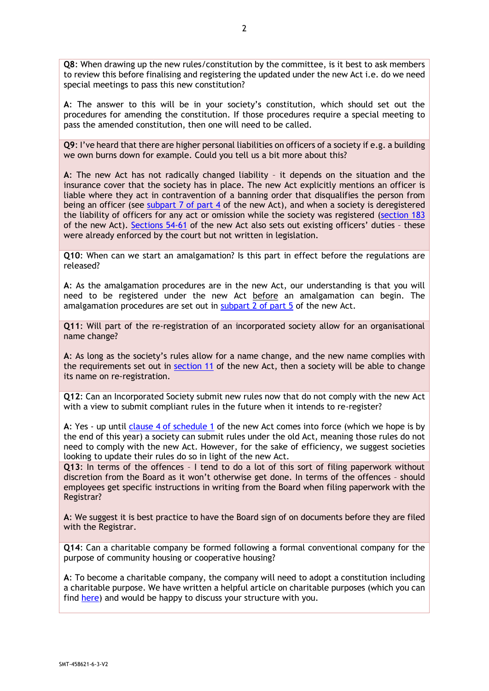**Q8**: When drawing up the new rules/constitution by the committee, is it best to ask members to review this before finalising and registering the updated under the new Act i.e. do we need special meetings to pass this new constitution?

**A**: The answer to this will be in your society's constitution, which should set out the procedures for amending the constitution. If those procedures require a special meeting to pass the amended constitution, then one will need to be called.

**Q9**: I've heard that there are higher personal liabilities on officers of a society if e.g. a building we own burns down for example. Could you tell us a bit more about this?

**A**: The new Act has not radically changed liability – it depends on the situation and the insurance cover that the society has in place. The new Act explicitly mentions an officer is liable where they act in contravention of a banning order that disqualifies the person from being an officer (see [subpart 7 of part 4](https://www.legislation.govt.nz/act/public/2022/0012/latest/LMS101060.html) of the new Act), and when a society is deregistered the liability of officers for any act or omission while the society was registered [\(section 183](https://www.legislation.govt.nz/act/public/2022/0012/latest/LMS101076.html) of the new Act). [Sections 54-61](https://www.legislation.govt.nz/act/public/2022/0012/latest/LMS100929.html) of the new Act also sets out existing officers' duties – these were already enforced by the court but not written in legislation.

**Q10**: When can we start an amalgamation? Is this part in effect before the regulations are released?

**A**: As the amalgamation procedures are in the new Act, our understanding is that you will need to be registered under the new Act before an amalgamation can begin. The amalgamation procedures are set out in subpart  $\overline{2}$  of part  $\overline{5}$  of the new Act.

**Q11**: Will part of the re-registration of an incorporated society allow for an organisational name change?

**A**: As long as the society's rules allow for a name change, and the new name complies with the requirements set out in [section 11](https://www.legislation.govt.nz/act/public/2022/0012/latest/LMS100866.html) of the new Act, then a society will be able to change its name on re-registration.

**Q12**: Can an Incorporated Society submit new rules now that do not comply with the new Act with a view to submit compliant rules in the future when it intends to re-register?

**A**: Yes - up until [clause 4 of schedule 1](https://www.legislation.govt.nz/act/public/2022/0012/latest/LMS155960.html) of the new Act comes into force (which we hope is by the end of this year) a society can submit rules under the old Act, meaning those rules do not need to comply with the new Act. However, for the sake of efficiency, we suggest societies looking to update their rules do so in light of the new Act.

**Q13**: In terms of the offences – I tend to do a lot of this sort of filing paperwork without discretion from the Board as it won't otherwise get done. In terms of the offences – should employees get specific instructions in writing from the Board when filing paperwork with the Registrar?

**A**: We suggest it is best practice to have the Board sign of on documents before they are filed with the Registrar.

**Q14**: Can a charitable company be formed following a formal conventional company for the purpose of community housing or cooperative housing?

**A**: To become a charitable company, the company will need to adopt a constitution including a charitable purpose. We have written a helpful article on charitable purposes (which you can find [here\)](https://www.parryfield.com/charitable-purposes-what-are-they/) and would be happy to discuss your structure with you.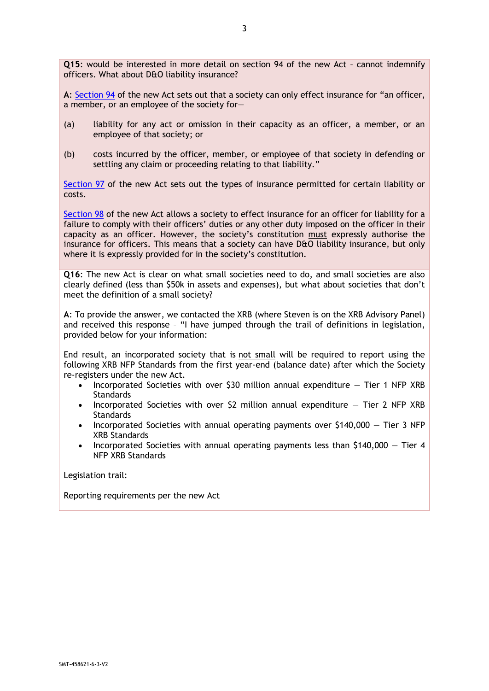**Q15**: would be interested in more detail on section 94 of the new Act – cannot indemnify officers. What about D&O liability insurance?

**A**: [Section 94](https://www.legislation.govt.nz/act/public/2022/0012/latest/LMS100980.html) of the new Act sets out that a society can only effect insurance for "an officer, a member, or an employee of the society for—

- (a) liability for any act or omission in their capacity as an officer, a member, or an employee of that society; or
- (b) costs incurred by the officer, member, or employee of that society in defending or settling any claim or proceeding relating to that liability."

[Section 97](https://www.legislation.govt.nz/act/public/2022/0012/latest/LMS100982.html) of the new Act sets out the types of insurance permitted for certain liability or costs.

[Section 98](https://www.legislation.govt.nz/act/public/2022/0012/latest/LMS100983.html) of the new Act allows a society to effect insurance for an officer for liability for a failure to comply with their officers' duties or any other duty imposed on the officer in their capacity as an officer. However, the society's constitution must expressly authorise the insurance for officers. This means that a society can have D&O liability insurance, but only where it is expressly provided for in the society's constitution.

**Q16**: The new Act is clear on what small societies need to do, and small societies are also clearly defined (less than \$50k in assets and expenses), but what about societies that don't meet the definition of a small society?

**A**: To provide the answer, we contacted the XRB (where Steven is on the XRB Advisory Panel) and received this response – "I have jumped through the trail of definitions in legislation, provided below for your information:

End result, an incorporated society that is not small will be required to report using the following XRB NFP Standards from the first year-end (balance date) after which the Society re-registers under the new Act.

- Incorporated Societies with over \$30 million annual expenditure  $-$  Tier 1 NFP XRB **Standards**
- Incorporated Societies with over  $$2$  million annual expenditure  $-$  Tier 2 NFP XRB **Standards**
- Incorporated Societies with annual operating payments over \$140,000 Tier 3 NFP XRB Standards
- Incorporated Societies with annual operating payments less than \$140,000 Tier 4 NFP XRB Standards

Legislation trail:

Reporting requirements per the new Act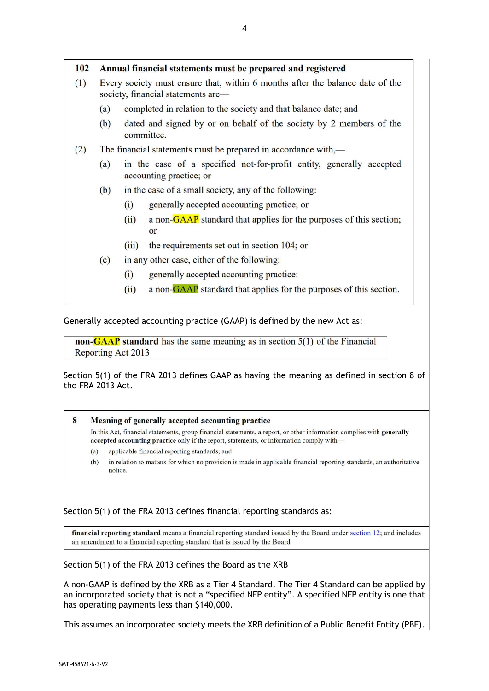| 102 | Annual financial statements must be prepared and registered                                                         |                                                                                                 |                                                                                   |
|-----|---------------------------------------------------------------------------------------------------------------------|-------------------------------------------------------------------------------------------------|-----------------------------------------------------------------------------------|
| (1) | Every society must ensure that, within 6 months after the balance date of the<br>society, financial statements are— |                                                                                                 |                                                                                   |
|     | (a)                                                                                                                 |                                                                                                 | completed in relation to the society and that balance date; and                   |
|     | (b)                                                                                                                 |                                                                                                 | dated and signed by or on behalf of the society by 2 members of the<br>committee. |
| (2) | The financial statements must be prepared in accordance with,—                                                      |                                                                                                 |                                                                                   |
|     | (a)                                                                                                                 | in the case of a specified not-for-profit entity, generally accepted<br>accounting practice; or |                                                                                   |
|     | in the case of a small society, any of the following:<br>(b)                                                        |                                                                                                 |                                                                                   |
|     |                                                                                                                     | (i)                                                                                             | generally accepted accounting practice; or                                        |
|     |                                                                                                                     | (ii)                                                                                            | a non-GAAP standard that applies for the purposes of this section;                |
|     |                                                                                                                     |                                                                                                 | <b>or</b>                                                                         |

- the requirements set out in section 104; or  $(iii)$
- in any other case, either of the following:  $(c)$ 
	- generally accepted accounting practice:  $(i)$
	- $(ii)$ a non-GAAP standard that applies for the purposes of this section.

Generally accepted accounting practice (GAAP) is defined by the new Act as:

non- $\overline{G A A P}$  standard has the same meaning as in section  $5(1)$  of the Financial Reporting Act 2013

Section 5(1) of the FRA 2013 defines GAAP as having the meaning as defined in section 8 of the FRA 2013 Act.

## $\mathbf{8}$ Meaning of generally accepted accounting practice

In this Act, financial statements, group financial statements, a report, or other information complies with generally accepted accounting practice only if the report, statements, or information comply with-

- $(a)$ applicable financial reporting standards; and
- $(b)$ in relation to matters for which no provision is made in applicable financial reporting standards, an authoritative notice.

## Section 5(1) of the FRA 2013 defines financial reporting standards as:

financial reporting standard means a financial reporting standard issued by the Board under section 12; and includes an amendment to a financial reporting standard that is issued by the Board

Section 5(1) of the FRA 2013 defines the Board as the XRB

A non-GAAP is defined by the XRB as a Tier 4 Standard. The Tier 4 Standard can be applied by an incorporated society that is not a "specified NFP entity". A specified NFP entity is one that has operating payments less than \$140,000.

This assumes an incorporated society meets the XRB definition of a Public Benefit Entity (PBE).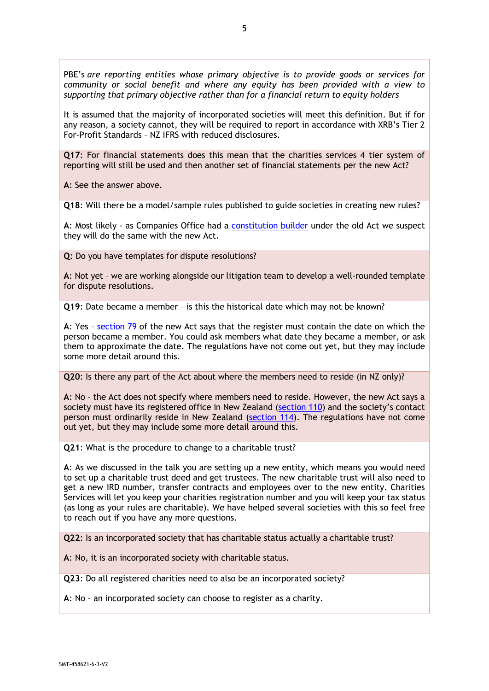PBE's *are reporting entities whose primary objective is to provide goods or services for community or social benefit and where any equity has been provided with a view to supporting that primary objective rather than for a financial return to equity holders*

It is assumed that the majority of incorporated societies will meet this definition. But if for any reason, a society cannot, they will be required to report in accordance with XRB's Tier 2 For-Profit Standards – NZ IFRS with reduced disclosures.

**Q17**: For financial statements does this mean that the charities services 4 tier system of reporting will still be used and then another set of financial statements per the new Act?

**A**: See the answer above.

**Q18**: Will there be a model/sample rules published to guide societies in creating new rules?

**A**: Most likely - as Companies Office had a [constitution builder](https://isb.companiesoffice.govt.nz/constitutionbuilder/startscreen/) under the old Act we suspect they will do the same with the new Act.

**Q**: Do you have templates for dispute resolutions?

**A**: Not yet – we are working alongside our litigation team to develop a well-rounded template for dispute resolutions.

**Q19**: Date became a member – is this the historical date which may not be known?

**A**: Yes – [section 79](https://www.legislation.govt.nz/act/public/2022/0012/latest/LMS100959.html) of the new Act says that the register must contain the date on which the person became a member. You could ask members what date they became a member, or ask them to approximate the date. The regulations have not come out yet, but they may include some more detail around this.

**Q20**: Is there any part of the Act about where the members need to reside (in NZ only)?

**A**: No – the Act does not specify where members need to reside. However, the new Act says a society must have its registered office in New Zealand [\(section 110\)](https://www.legislation.govt.nz/act/public/2022/0012/latest/LMS101003.html) and the society's contact person must ordinarily reside in New Zealand [\(section 114\)](https://www.legislation.govt.nz/act/public/2022/0012/latest/LMS100921.html). The regulations have not come out yet, but they may include some more detail around this.

**Q21**: What is the procedure to change to a charitable trust?

**A**: As we discussed in the talk you are setting up a new entity, which means you would need to set up a charitable trust deed and get trustees. The new charitable trust will also need to get a new IRD number, transfer contracts and employees over to the new entity. Charities Services will let you keep your charities registration number and you will keep your tax status (as long as your rules are charitable). We have helped several societies with this so feel free to reach out if you have any more questions.

**Q22**: Is an incorporated society that has charitable status actually a charitable trust?

**A**: No, it is an incorporated society with charitable status.

**Q23**: Do all registered charities need to also be an incorporated society?

**A**: No – an incorporated society can choose to register as a charity.